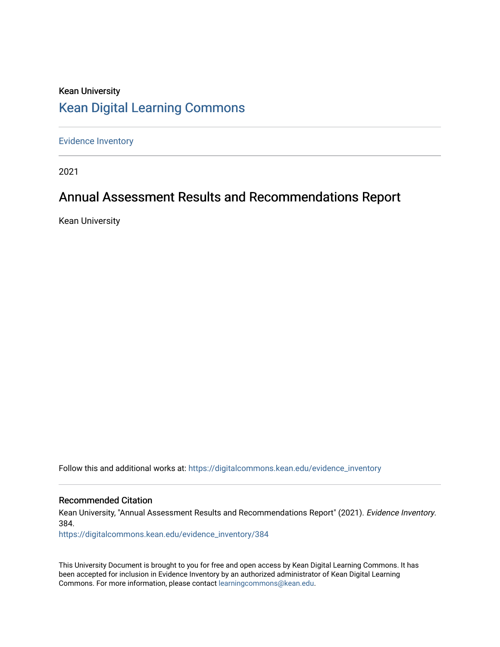# Kean University [Kean Digital Learning Commons](https://digitalcommons.kean.edu/)

[Evidence Inventory](https://digitalcommons.kean.edu/evidence_inventory) 

2021

# Annual Assessment Results and Recommendations Report

Kean University

Follow this and additional works at: [https://digitalcommons.kean.edu/evidence\\_inventory](https://digitalcommons.kean.edu/evidence_inventory?utm_source=digitalcommons.kean.edu%2Fevidence_inventory%2F384&utm_medium=PDF&utm_campaign=PDFCoverPages)

#### Recommended Citation

Kean University, "Annual Assessment Results and Recommendations Report" (2021). Evidence Inventory. 384.

[https://digitalcommons.kean.edu/evidence\\_inventory/384](https://digitalcommons.kean.edu/evidence_inventory/384?utm_source=digitalcommons.kean.edu%2Fevidence_inventory%2F384&utm_medium=PDF&utm_campaign=PDFCoverPages)

This University Document is brought to you for free and open access by Kean Digital Learning Commons. It has been accepted for inclusion in Evidence Inventory by an authorized administrator of Kean Digital Learning Commons. For more information, please contact [learningcommons@kean.edu.](mailto:learningcommons@kean.edu)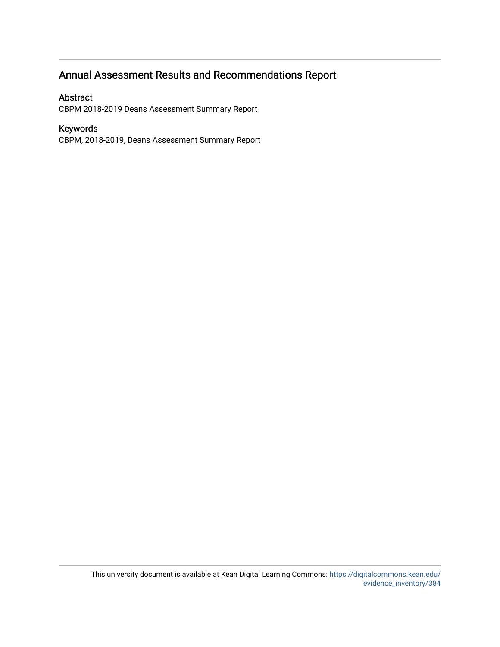# Annual Assessment Results and Recommendations Report

#### Abstract

CBPM 2018-2019 Deans Assessment Summary Report

#### Keywords

CBPM, 2018-2019, Deans Assessment Summary Report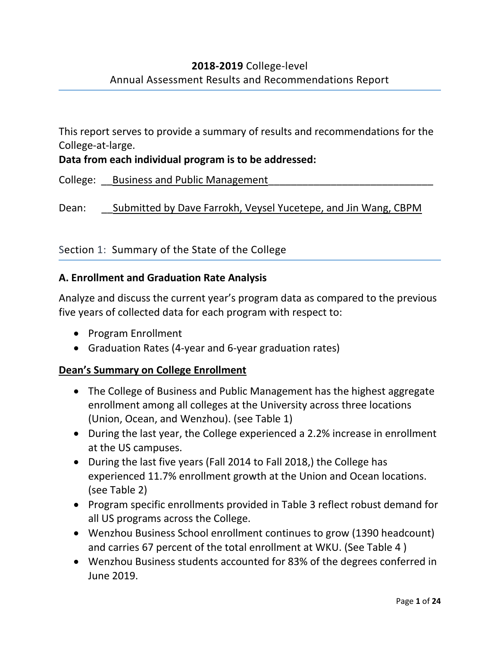This report serves to provide a summary of results and recommendations for the College-at-large.

**Data from each individual program is to be addressed:**

College: Business and Public Management

Dean: Submitted by Dave Farrokh, Veysel Yucetepe, and Jin Wang, CBPM

### Section 1: Summary of the State of the College

### **A. Enrollment and Graduation Rate Analysis**

Analyze and discuss the current year's program data as compared to the previous five years of collected data for each program with respect to:

- Program Enrollment
- Graduation Rates (4-year and 6-year graduation rates)

### **Dean's Summary on College Enrollment**

- The College of Business and Public Management has the highest aggregate enrollment among all colleges at the University across three locations (Union, Ocean, and Wenzhou). (see Table 1)
- During the last year, the College experienced a 2.2% increase in enrollment at the US campuses.
- During the last five years (Fall 2014 to Fall 2018,) the College has experienced 11.7% enrollment growth at the Union and Ocean locations. (see Table 2)
- Program specific enrollments provided in Table 3 reflect robust demand for all US programs across the College.
- Wenzhou Business School enrollment continues to grow (1390 headcount) and carries 67 percent of the total enrollment at WKU. (See Table 4 )
- Wenzhou Business students accounted for 83% of the degrees conferred in June 2019.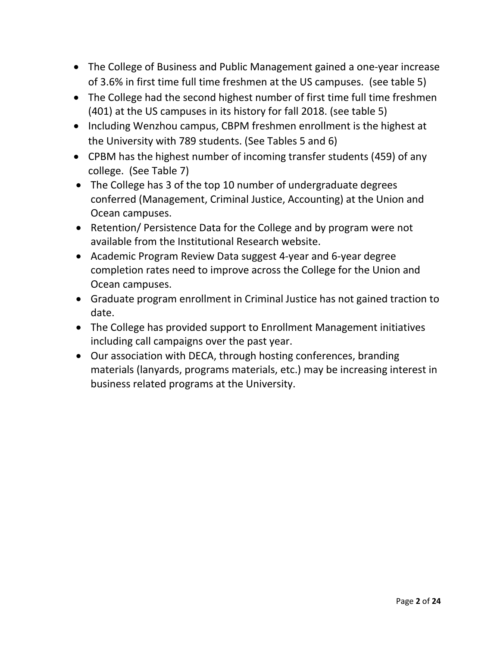- The College of Business and Public Management gained a one-year increase of 3.6% in first time full time freshmen at the US campuses. (see table 5)
- The College had the second highest number of first time full time freshmen (401) at the US campuses in its history for fall 2018. (see table 5)
- Including Wenzhou campus, CBPM freshmen enrollment is the highest at the University with 789 students. (See Tables 5 and 6)
- CPBM has the highest number of incoming transfer students (459) of any college. (See Table 7)
- The College has 3 of the top 10 number of undergraduate degrees conferred (Management, Criminal Justice, Accounting) at the Union and Ocean campuses.
- Retention/ Persistence Data for the College and by program were not available from the Institutional Research website.
- Academic Program Review Data suggest 4-year and 6-year degree completion rates need to improve across the College for the Union and Ocean campuses.
- Graduate program enrollment in Criminal Justice has not gained traction to date.
- The College has provided support to Enrollment Management initiatives including call campaigns over the past year.
- Our association with DECA, through hosting conferences, branding materials (lanyards, programs materials, etc.) may be increasing interest in business related programs at the University.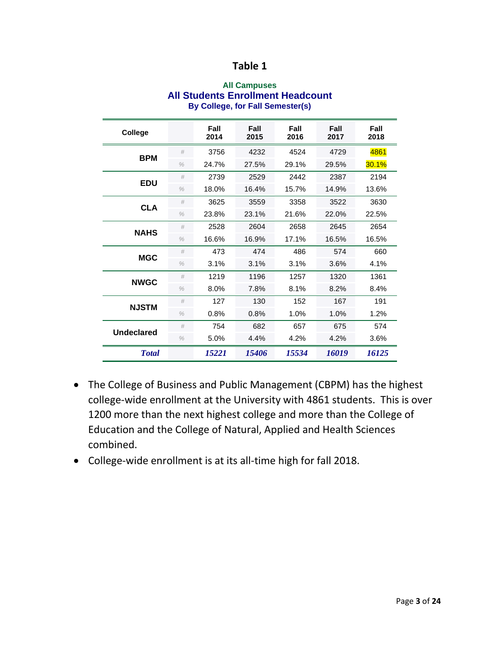#### **All Campuses All Students Enrollment Headcount By College, for Fall Semester(s)**

| College           |               | Fall<br>2014 | Fall<br>2015 | Fall<br>2016 | Fall<br>2017 | Fall<br>2018 |
|-------------------|---------------|--------------|--------------|--------------|--------------|--------------|
| <b>BPM</b>        | #             | 3756         | 4232         | 4524         | 4729         | 4861         |
|                   | $\%$          | 24.7%        | 27.5%        | 29.1%        | 29.5%        | 30.1%        |
| <b>EDU</b>        | #             | 2739         | 2529         | 2442         | 2387         | 2194         |
|                   | $\%$          | 18.0%        | 16.4%        | 15.7%        | 14.9%        | 13.6%        |
| <b>CLA</b>        | #             | 3625         | 3559         | 3358         | 3522         | 3630         |
|                   | $\%$          | 23.8%        | 23.1%        | 21.6%        | 22.0%        | 22.5%        |
| <b>NAHS</b>       | #             | 2528         | 2604         | 2658         | 2645         | 2654         |
|                   | $\%$          | 16.6%        | 16.9%        | 17.1%        | 16.5%        | 16.5%        |
| <b>MGC</b>        | #             | 473          | 474          | 486          | 574          | 660          |
|                   | $\frac{0}{0}$ | 3.1%         | 3.1%         | 3.1%         | 3.6%         | 4.1%         |
| <b>NWGC</b>       | #             | 1219         | 1196         | 1257         | 1320         | 1361         |
|                   | $\%$          | 8.0%         | 7.8%         | 8.1%         | 8.2%         | 8.4%         |
| <b>NJSTM</b>      | #             | 127          | 130          | 152          | 167          | 191          |
|                   | $\frac{0}{0}$ | 0.8%         | 0.8%         | 1.0%         | 1.0%         | 1.2%         |
| <b>Undeclared</b> | #             | 754          | 682          | 657          | 675          | 574          |
|                   | $\frac{0}{0}$ | 5.0%         | 4.4%         | 4.2%         | 4.2%         | 3.6%         |
| <b>T</b> otal     |               | 15221        | 15406        | 15534        | 16019        | 16125        |

- The College of Business and Public Management (CBPM) has the highest college-wide enrollment at the University with 4861 students. This is over 1200 more than the next highest college and more than the College of Education and the College of Natural, Applied and Health Sciences combined.
- College-wide enrollment is at its all-time high for fall 2018.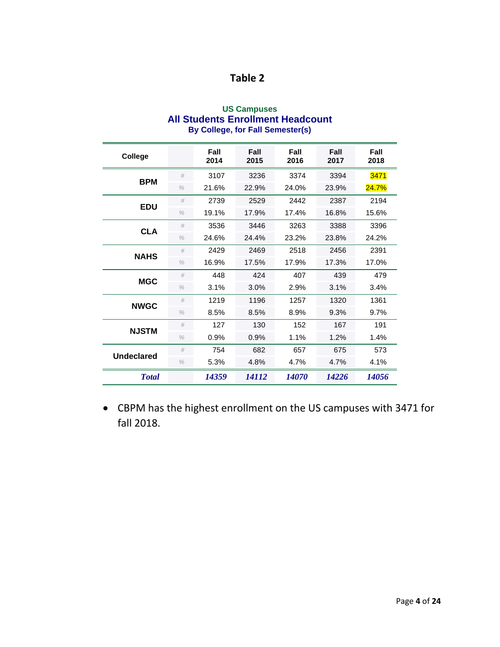| <b>Table 2</b> |  |
|----------------|--|
|                |  |

| <b>US Campuses</b>                       |
|------------------------------------------|
| <b>All Students Enrollment Headcount</b> |
| By College, for Fall Semester(s)         |

| College           |               | Fall<br>2014 | Fall<br>2015 | Fall<br>2016 | Fall<br>2017 | Fall<br>2018 |
|-------------------|---------------|--------------|--------------|--------------|--------------|--------------|
| <b>BPM</b>        | #             | 3107         | 3236         | 3374         | 3394         | 3471         |
|                   | $\frac{0}{0}$ | 21.6%        | 22.9%        | 24.0%        | 23.9%        | 24.7%        |
| <b>EDU</b>        | #             | 2739         | 2529         | 2442         | 2387         | 2194         |
|                   | $\frac{0}{0}$ | 19.1%        | 17.9%        | 17.4%        | 16.8%        | 15.6%        |
| <b>CLA</b>        | #             | 3536         | 3446         | 3263         | 3388         | 3396         |
|                   | $\%$          | 24.6%        | 24.4%        | 23.2%        | 23.8%        | 24.2%        |
| <b>NAHS</b>       | #             | 2429         | 2469         | 2518         | 2456         | 2391         |
|                   | $\frac{0}{0}$ | 16.9%        | 17.5%        | 17.9%        | 17.3%        | 17.0%        |
| <b>MGC</b>        | #             | 448          | 424          | 407          | 439          | 479          |
|                   | $\%$          | 3.1%         | 3.0%         | 2.9%         | 3.1%         | 3.4%         |
| <b>NWGC</b>       | #             | 1219         | 1196         | 1257         | 1320         | 1361         |
|                   | $\%$          | 8.5%         | 8.5%         | 8.9%         | 9.3%         | 9.7%         |
| <b>NJSTM</b>      | #             | 127          | 130          | 152          | 167          | 191          |
|                   | $\frac{0}{0}$ | 0.9%         | 0.9%         | 1.1%         | 1.2%         | 1.4%         |
| <b>Undeclared</b> | #             | 754          | 682          | 657          | 675          | 573          |
|                   | $\%$          | 5.3%         | 4.8%         | 4.7%         | 4.7%         | 4.1%         |
| <b>Total</b>      |               | 14359        | <i>14112</i> | <i>14070</i> | 14226        | 14056        |

• CBPM has the highest enrollment on the US campuses with 3471 for fall 2018.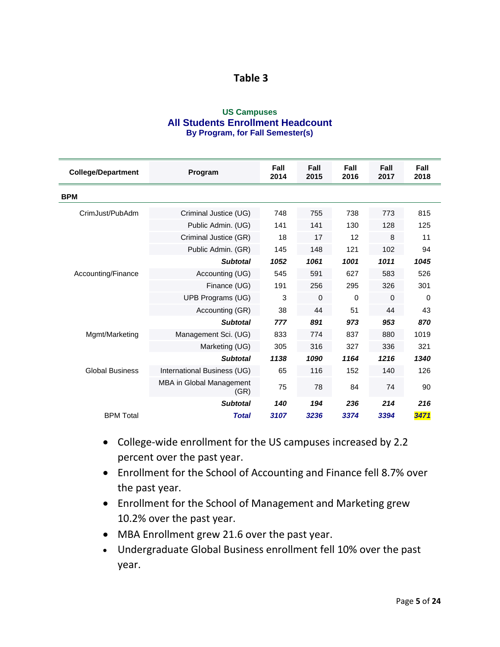#### **US Campuses All Students Enrollment Headcount By Program, for Fall Semester(s)**

| <b>College/Department</b> | Program                          | Fall<br>2014 | Fall<br>2015 | Fall<br>2016 | Fall<br>2017 | Fall<br>2018 |
|---------------------------|----------------------------------|--------------|--------------|--------------|--------------|--------------|
| <b>BPM</b>                |                                  |              |              |              |              |              |
| CrimJust/PubAdm           | Criminal Justice (UG)            | 748          | 755          | 738          | 773          | 815          |
|                           | Public Admin. (UG)               | 141          | 141          | 130          | 128          | 125          |
|                           | Criminal Justice (GR)            | 18           | 17           | 12           | 8            | 11           |
|                           | Public Admin. (GR)               | 145          | 148          | 121          | 102          | 94           |
|                           | <b>Subtotal</b>                  | 1052         | 1061         | 1001         | 1011         | 1045         |
| Accounting/Finance        | Accounting (UG)                  | 545          | 591          | 627          | 583          | 526          |
|                           | Finance (UG)                     | 191          | 256          | 295          | 326          | 301          |
|                           | UPB Programs (UG)                | 3            | $\mathbf 0$  | 0            | 0            | 0            |
|                           | Accounting (GR)                  | 38           | 44           | 51           | 44           | 43           |
|                           | <b>Subtotal</b>                  | 777          | 891          | 973          | 953          | 870          |
| Mgmt/Marketing            | Management Sci. (UG)             | 833          | 774          | 837          | 880          | 1019         |
|                           | Marketing (UG)                   | 305          | 316          | 327          | 336          | 321          |
|                           | <b>Subtotal</b>                  | 1138         | 1090         | 1164         | 1216         | 1340         |
| <b>Global Business</b>    | International Business (UG)      | 65           | 116          | 152          | 140          | 126          |
|                           | MBA in Global Management<br>(GR) | 75           | 78           | 84           | 74           | 90           |
|                           | <b>Subtotal</b>                  | 140          | 194          | 236          | 214          | 216          |
| <b>BPM Total</b>          | <b>Total</b>                     | 3107         | 3236         | 3374         | 3394         | 3471         |

- College-wide enrollment for the US campuses increased by 2.2 percent over the past year.
- Enrollment for the School of Accounting and Finance fell 8.7% over the past year.
- Enrollment for the School of Management and Marketing grew 10.2% over the past year.
- MBA Enrollment grew 21.6 over the past year.
- Undergraduate Global Business enrollment fell 10% over the past year.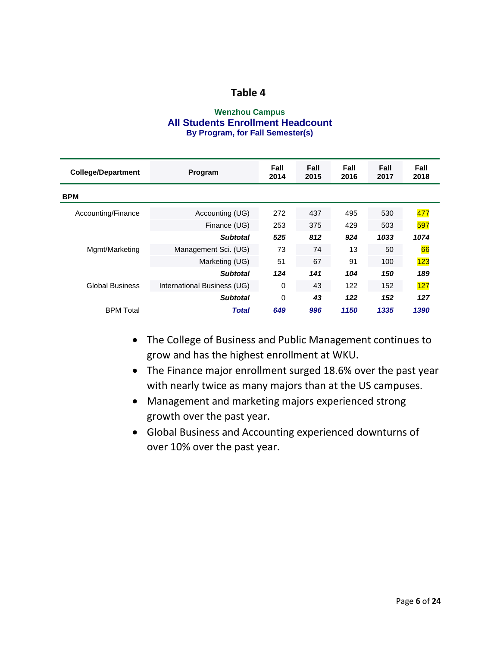#### **Wenzhou Campus All Students Enrollment Headcount By Program, for Fall Semester(s)**

| <b>College/Department</b> | Program                     | Fall<br>2014 | Fall<br>2015 | Fall<br>2016 | Fall<br>2017 | Fall<br>2018 |
|---------------------------|-----------------------------|--------------|--------------|--------------|--------------|--------------|
| <b>BPM</b>                |                             |              |              |              |              |              |
| Accounting/Finance        | Accounting (UG)             | 272          | 437          | 495          | 530          | 477          |
|                           | Finance (UG)                | 253          | 375          | 429          | 503          | 597          |
|                           | <b>Subtotal</b>             | 525          | 812          | 924          | 1033         | 1074         |
| Mgmt/Marketing            | Management Sci. (UG)        | 73           | 74           | 13           | 50           | 66           |
|                           | Marketing (UG)              | 51           | 67           | 91           | 100          | 123          |
|                           | <b>Subtotal</b>             | 124          | 141          | 104          | 150          | 189          |
| <b>Global Business</b>    | International Business (UG) | 0            | 43           | 122          | 152          | 127          |
|                           | <b>Subtotal</b>             | 0            | 43           | 122          | 152          | 127          |
| <b>BPM</b> Total          | <b>Total</b>                | 649          | 996          | 1150         | 1335         | 1390         |

- The College of Business and Public Management continues to grow and has the highest enrollment at WKU.
- The Finance major enrollment surged 18.6% over the past year with nearly twice as many majors than at the US campuses.
- Management and marketing majors experienced strong growth over the past year.
- Global Business and Accounting experienced downturns of over 10% over the past year.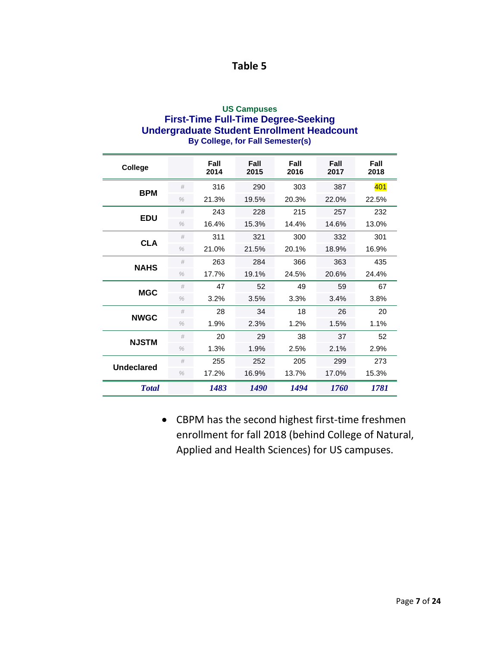#### **US Campuses First-Time Full-Time Degree-Seeking Undergraduate Student Enrollment Headcount By College, for Fall Semester(s)**

| College           |               | Fall<br>2014 | Fall<br>2015 | Fall<br>2016 | Fall<br>2017 | Fall<br>2018 |
|-------------------|---------------|--------------|--------------|--------------|--------------|--------------|
| <b>BPM</b>        | #             | 316          | 290          | 303          | 387          | 401          |
|                   | $\%$          | 21.3%        | 19.5%        | 20.3%        | 22.0%        | 22.5%        |
| <b>EDU</b>        | #             | 243          | 228          | 215          | 257          | 232          |
|                   | $\frac{0}{0}$ | 16.4%        | 15.3%        | 14.4%        | 14.6%        | 13.0%        |
| <b>CLA</b>        | #             | 311          | 321          | 300          | 332          | 301          |
|                   | $\%$          | 21.0%        | 21.5%        | 20.1%        | 18.9%        | 16.9%        |
| <b>NAHS</b>       | #             | 263          | 284          | 366          | 363          | 435          |
|                   | $\frac{0}{0}$ | 17.7%        | 19.1%        | 24.5%        | 20.6%        | 24.4%        |
| <b>MGC</b>        | #             | 47           | 52           | 49           | 59           | 67           |
|                   | $\frac{0}{0}$ | 3.2%         | 3.5%         | 3.3%         | 3.4%         | 3.8%         |
| <b>NWGC</b>       | #             | 28           | 34           | 18           | 26           | 20           |
|                   | $\%$          | 1.9%         | 2.3%         | 1.2%         | 1.5%         | 1.1%         |
| <b>NJSTM</b>      | #             | 20           | 29           | 38           | 37           | 52           |
|                   | $\frac{0}{0}$ | 1.3%         | 1.9%         | 2.5%         | 2.1%         | 2.9%         |
| <b>Undeclared</b> | #             | 255          | 252          | 205          | 299          | 273          |
|                   | $\frac{0}{0}$ | 17.2%        | 16.9%        | 13.7%        | 17.0%        | 15.3%        |
| <b>Total</b>      |               | 1483         | 1490         | 1494         | 1760         | 1781         |

• CBPM has the second highest first-time freshmen enrollment for fall 2018 (behind College of Natural, Applied and Health Sciences) for US campuses.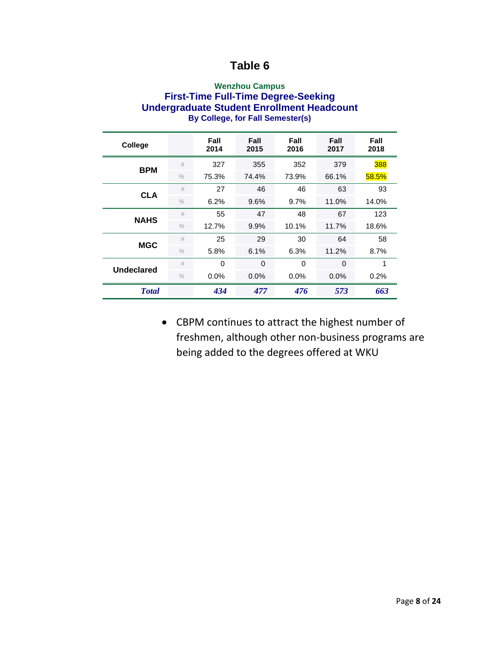#### **Wenzhou Campus First-Time Full-Time Degree-Seeking Undergraduate Student Enrollment Headcount By College, for Fall Semester(s)**

| College           |               | Fall<br>2014 | Fall<br>2015 | Fall<br>2016 | Fall<br>2017 | Fall<br>2018 |
|-------------------|---------------|--------------|--------------|--------------|--------------|--------------|
| <b>BPM</b>        | #             | 327          | 355          | 352          | 379          | 388          |
|                   | $\frac{0}{0}$ | 75.3%        | 74.4%        | 73.9%        | 66.1%        | 58.5%        |
| <b>CLA</b>        | #             | 27           | 46           | 46           | 63           | 93           |
|                   | $\frac{0}{0}$ | 6.2%         | 9.6%         | 9.7%         | 11.0%        | 14.0%        |
| <b>NAHS</b>       | #             | 55           | 47           | 48           | 67           | 123          |
|                   | $\frac{0}{0}$ | 12.7%        | 9.9%         | 10.1%        | 11.7%        | 18.6%        |
| <b>MGC</b>        | #             | 25           | 29           | 30           | 64           | 58           |
|                   | $\%$          | 5.8%         | 6.1%         | 6.3%         | 11.2%        | 8.7%         |
| <b>Undeclared</b> | #             | 0            | 0            | $\Omega$     | $\Omega$     | 1            |
|                   | $\frac{0}{0}$ | 0.0%         | 0.0%         | $0.0\%$      | $0.0\%$      | 0.2%         |
| <b>Total</b>      |               | 434          | 477          | 476          | 573          | 663          |

• CBPM continues to attract the highest number of freshmen, although other non-business programs are being added to the degrees offered at WKU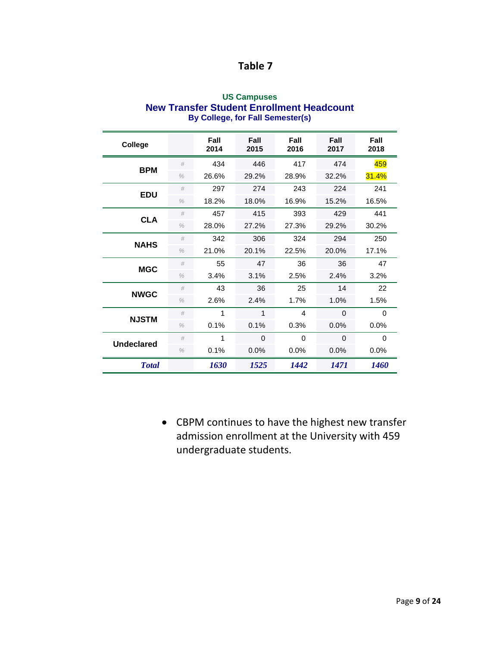| <b>US Campuses</b>                        |
|-------------------------------------------|
| New Transfer Student Enrollment Headcount |
| By College, for Fall Semester(s)          |

| College           |               | Fall<br>2014 | Fall<br>2015 | Fall<br>2016 | Fall<br>2017 | Fall<br>2018 |
|-------------------|---------------|--------------|--------------|--------------|--------------|--------------|
| <b>BPM</b>        | #             | 434          | 446          | 417          | 474          | 459          |
|                   | $\%$          | 26.6%        | 29.2%        | 28.9%        | 32.2%        | 31.4%        |
| <b>EDU</b>        | #             | 297          | 274          | 243          | 224          | 241          |
|                   | $\frac{0}{0}$ | 18.2%        | 18.0%        | 16.9%        | 15.2%        | 16.5%        |
| <b>CLA</b>        | #             | 457          | 415          | 393          | 429          | 441          |
|                   | $\frac{0}{0}$ | 28.0%        | 27.2%        | 27.3%        | 29.2%        | 30.2%        |
| <b>NAHS</b>       | #             | 342          | 306          | 324          | 294          | 250          |
|                   | $\frac{0}{0}$ | 21.0%        | 20.1%        | 22.5%        | 20.0%        | 17.1%        |
| <b>MGC</b>        | #             | 55           | 47           | 36           | 36           | 47           |
|                   | $\frac{0}{0}$ | 3.4%         | 3.1%         | 2.5%         | 2.4%         | 3.2%         |
| <b>NWGC</b>       | #             | 43           | 36           | 25           | 14           | 22           |
|                   | $\%$          | 2.6%         | 2.4%         | 1.7%         | 1.0%         | 1.5%         |
| <b>NJSTM</b>      | #             | 1            | 1            | 4            | $\Omega$     | 0            |
|                   | $\frac{0}{0}$ | 0.1%         | 0.1%         | 0.3%         | 0.0%         | 0.0%         |
| <b>Undeclared</b> | #             | 1            | 0            | $\Omega$     | $\Omega$     | $\Omega$     |
|                   | $\frac{0}{0}$ | 0.1%         | 0.0%         | 0.0%         | 0.0%         | 0.0%         |
| <b>T</b> otal     |               | 1630         | 1525         | 1442         | 1471         | <b>1460</b>  |

• CBPM continues to have the highest new transfer admission enrollment at the University with 459 undergraduate students.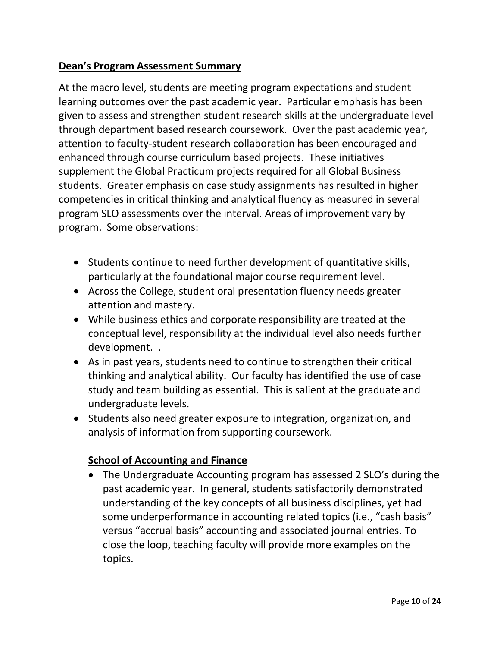## **Dean's Program Assessment Summary**

At the macro level, students are meeting program expectations and student learning outcomes over the past academic year. Particular emphasis has been given to assess and strengthen student research skills at the undergraduate level through department based research coursework. Over the past academic year, attention to faculty-student research collaboration has been encouraged and enhanced through course curriculum based projects. These initiatives supplement the Global Practicum projects required for all Global Business students. Greater emphasis on case study assignments has resulted in higher competencies in critical thinking and analytical fluency as measured in several program SLO assessments over the interval. Areas of improvement vary by program. Some observations:

- Students continue to need further development of quantitative skills, particularly at the foundational major course requirement level.
- Across the College, student oral presentation fluency needs greater attention and mastery.
- While business ethics and corporate responsibility are treated at the conceptual level, responsibility at the individual level also needs further development. .
- As in past years, students need to continue to strengthen their critical thinking and analytical ability. Our faculty has identified the use of case study and team building as essential. This is salient at the graduate and undergraduate levels.
- Students also need greater exposure to integration, organization, and analysis of information from supporting coursework.

# **School of Accounting and Finance**

• The Undergraduate Accounting program has assessed 2 SLO's during the past academic year. In general, students satisfactorily demonstrated understanding of the key concepts of all business disciplines, yet had some underperformance in accounting related topics (i.e., "cash basis" versus "accrual basis" accounting and associated journal entries. To close the loop, teaching faculty will provide more examples on the topics.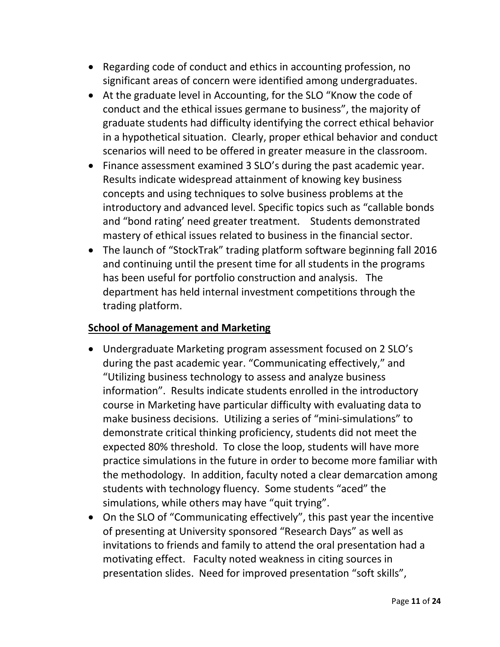- Regarding code of conduct and ethics in accounting profession, no significant areas of concern were identified among undergraduates.
- At the graduate level in Accounting, for the SLO "Know the code of conduct and the ethical issues germane to business", the majority of graduate students had difficulty identifying the correct ethical behavior in a hypothetical situation. Clearly, proper ethical behavior and conduct scenarios will need to be offered in greater measure in the classroom.
- Finance assessment examined 3 SLO's during the past academic year. Results indicate widespread attainment of knowing key business concepts and using techniques to solve business problems at the introductory and advanced level. Specific topics such as "callable bonds and "bond rating' need greater treatment. Students demonstrated mastery of ethical issues related to business in the financial sector.
- The launch of "StockTrak" trading platform software beginning fall 2016 and continuing until the present time for all students in the programs has been useful for portfolio construction and analysis. The department has held internal investment competitions through the trading platform.

## **School of Management and Marketing**

- Undergraduate Marketing program assessment focused on 2 SLO's during the past academic year. "Communicating effectively," and "Utilizing business technology to assess and analyze business information". Results indicate students enrolled in the introductory course in Marketing have particular difficulty with evaluating data to make business decisions. Utilizing a series of "mini-simulations" to demonstrate critical thinking proficiency, students did not meet the expected 80% threshold. To close the loop, students will have more practice simulations in the future in order to become more familiar with the methodology. In addition, faculty noted a clear demarcation among students with technology fluency. Some students "aced" the simulations, while others may have "quit trying".
- On the SLO of "Communicating effectively", this past year the incentive of presenting at University sponsored "Research Days" as well as invitations to friends and family to attend the oral presentation had a motivating effect. Faculty noted weakness in citing sources in presentation slides. Need for improved presentation "soft skills",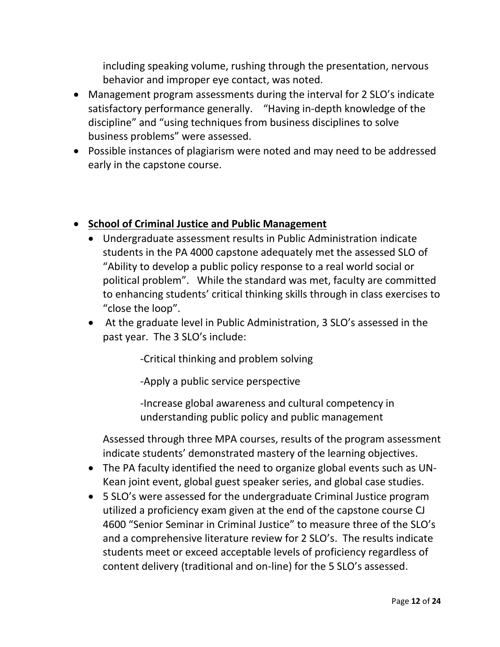including speaking volume, rushing through the presentation, nervous behavior and improper eye contact, was noted.

- Management program assessments during the interval for 2 SLO's indicate satisfactory performance generally. "Having in-depth knowledge of the discipline" and "using techniques from business disciplines to solve business problems" were assessed.
- Possible instances of plagiarism were noted and may need to be addressed early in the capstone course.

## • **School of Criminal Justice and Public Management**

- Undergraduate assessment results in Public Administration indicate students in the PA 4000 capstone adequately met the assessed SLO of "Ability to develop a public policy response to a real world social or political problem". While the standard was met, faculty are committed to enhancing students' critical thinking skills through in class exercises to "close the loop".
- At the graduate level in Public Administration, 3 SLO's assessed in the past year. The 3 SLO's include:

-Critical thinking and problem solving

-Apply a public service perspective

-Increase global awareness and cultural competency in understanding public policy and public management

Assessed through three MPA courses, results of the program assessment indicate students' demonstrated mastery of the learning objectives.

- The PA faculty identified the need to organize global events such as UN-Kean joint event, global guest speaker series, and global case studies.
- 5 SLO's were assessed for the undergraduate Criminal Justice program utilized a proficiency exam given at the end of the capstone course CJ 4600 "Senior Seminar in Criminal Justice" to measure three of the SLO's and a comprehensive literature review for 2 SLO's. The results indicate students meet or exceed acceptable levels of proficiency regardless of content delivery (traditional and on-line) for the 5 SLO's assessed.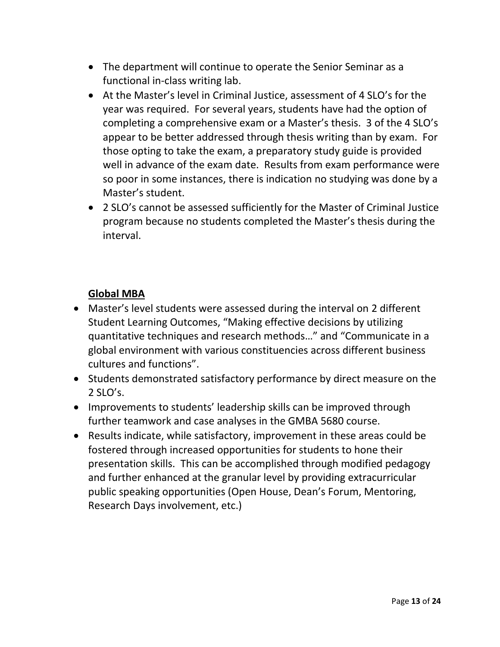- The department will continue to operate the Senior Seminar as a functional in-class writing lab.
- At the Master's level in Criminal Justice, assessment of 4 SLO's for the year was required. For several years, students have had the option of completing a comprehensive exam or a Master's thesis. 3 of the 4 SLO's appear to be better addressed through thesis writing than by exam. For those opting to take the exam, a preparatory study guide is provided well in advance of the exam date. Results from exam performance were so poor in some instances, there is indication no studying was done by a Master's student.
- 2 SLO's cannot be assessed sufficiently for the Master of Criminal Justice program because no students completed the Master's thesis during the interval.

## **Global MBA**

- Master's level students were assessed during the interval on 2 different Student Learning Outcomes, "Making effective decisions by utilizing quantitative techniques and research methods…" and "Communicate in a global environment with various constituencies across different business cultures and functions".
- Students demonstrated satisfactory performance by direct measure on the 2 SLO's.
- Improvements to students' leadership skills can be improved through further teamwork and case analyses in the GMBA 5680 course.
- Results indicate, while satisfactory, improvement in these areas could be fostered through increased opportunities for students to hone their presentation skills. This can be accomplished through modified pedagogy and further enhanced at the granular level by providing extracurricular public speaking opportunities (Open House, Dean's Forum, Mentoring, Research Days involvement, etc.)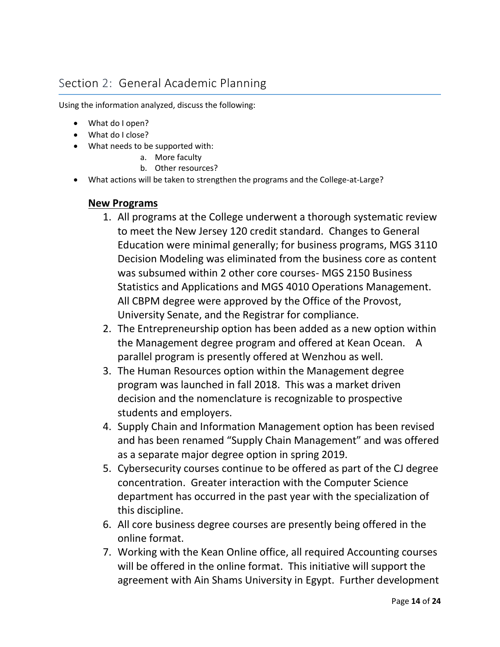# Section 2: General Academic Planning

Using the information analyzed, discuss the following:

- What do I open?
- What do I close?
- What needs to be supported with:
	- a. More faculty
		- b. Other resources?
- What actions will be taken to strengthen the programs and the College-at-Large?

#### **New Programs**

- 1. All programs at the College underwent a thorough systematic review to meet the New Jersey 120 credit standard. Changes to General Education were minimal generally; for business programs, MGS 3110 Decision Modeling was eliminated from the business core as content was subsumed within 2 other core courses- MGS 2150 Business Statistics and Applications and MGS 4010 Operations Management. All CBPM degree were approved by the Office of the Provost, University Senate, and the Registrar for compliance.
- 2. The Entrepreneurship option has been added as a new option within the Management degree program and offered at Kean Ocean. A parallel program is presently offered at Wenzhou as well.
- 3. The Human Resources option within the Management degree program was launched in fall 2018. This was a market driven decision and the nomenclature is recognizable to prospective students and employers.
- 4. Supply Chain and Information Management option has been revised and has been renamed "Supply Chain Management" and was offered as a separate major degree option in spring 2019.
- 5. Cybersecurity courses continue to be offered as part of the CJ degree concentration. Greater interaction with the Computer Science department has occurred in the past year with the specialization of this discipline.
- 6. All core business degree courses are presently being offered in the online format.
- 7. Working with the Kean Online office, all required Accounting courses will be offered in the online format. This initiative will support the agreement with Ain Shams University in Egypt. Further development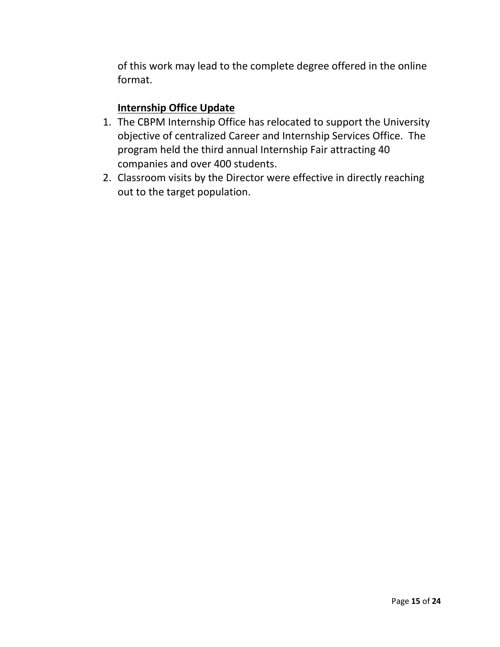of this work may lead to the complete degree offered in the online format.

### **Internship Office Update**

- 1. The CBPM Internship Office has relocated to support the University objective of centralized Career and Internship Services Office. The program held the third annual Internship Fair attracting 40 companies and over 400 students.
- 2. Classroom visits by the Director were effective in directly reaching out to the target population.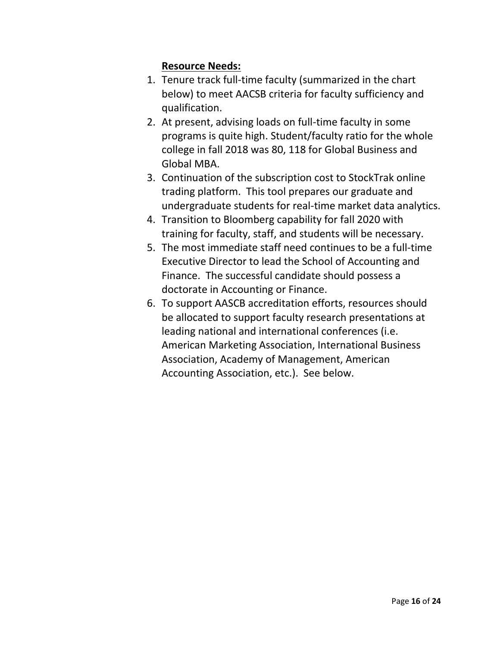## **Resource Needs:**

- 1. Tenure track full-time faculty (summarized in the chart below) to meet AACSB criteria for faculty sufficiency and qualification.
- 2. At present, advising loads on full-time faculty in some programs is quite high. Student/faculty ratio for the whole college in fall 2018 was 80, 118 for Global Business and Global MBA.
- 3. Continuation of the subscription cost to StockTrak online trading platform. This tool prepares our graduate and undergraduate students for real-time market data analytics.
- 4. Transition to Bloomberg capability for fall 2020 with training for faculty, staff, and students will be necessary.
- 5. The most immediate staff need continues to be a full-time Executive Director to lead the School of Accounting and Finance. The successful candidate should possess a doctorate in Accounting or Finance.
- 6. To support AASCB accreditation efforts, resources should be allocated to support faculty research presentations at leading national and international conferences (i.e. American Marketing Association, International Business Association, Academy of Management, American Accounting Association, etc.). See below.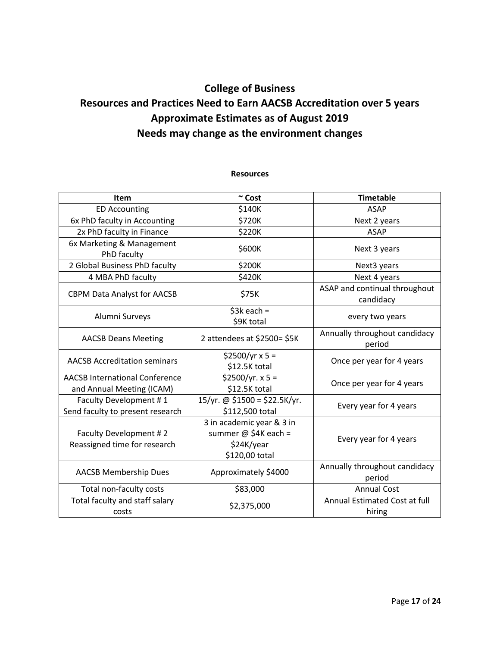# **College of Business Resources and Practices Need to Earn AACSB Accreditation over 5 years Approximate Estimates as of August 2019 Needs may change as the environment changes**

#### **Resources**

| <b>Item</b>                                            | $~\sim$ Cost                                                                       | <b>Timetable</b>                           |  |
|--------------------------------------------------------|------------------------------------------------------------------------------------|--------------------------------------------|--|
| <b>ED Accounting</b>                                   | \$140K                                                                             | <b>ASAP</b>                                |  |
| 6x PhD faculty in Accounting                           | \$720K                                                                             | Next 2 years                               |  |
| 2x PhD faculty in Finance                              | \$220K                                                                             | <b>ASAP</b>                                |  |
| 6x Marketing & Management<br>PhD faculty               | \$600K                                                                             | Next 3 years                               |  |
| 2 Global Business PhD faculty                          | \$200K                                                                             | Next3 years                                |  |
| 4 MBA PhD faculty                                      | \$420K                                                                             | Next 4 years                               |  |
| <b>CBPM Data Analyst for AACSB</b>                     | \$75K                                                                              | ASAP and continual throughout<br>candidacy |  |
| Alumni Surveys                                         | $$3k$ each =<br>\$9K total                                                         | every two years                            |  |
| <b>AACSB Deans Meeting</b>                             | 2 attendees at \$2500= \$5K                                                        | Annually throughout candidacy<br>period    |  |
| <b>AACSB Accreditation seminars</b>                    | $$2500/yr \times 5 =$<br>\$12.5K total                                             | Once per year for 4 years                  |  |
| <b>AACSB International Conference</b>                  | $$2500/yr. x 5 =$                                                                  | Once per year for 4 years                  |  |
| and Annual Meeting (ICAM)                              | \$12.5K total                                                                      |                                            |  |
| Faculty Development #1                                 | 15/yr. @ \$1500 = \$22.5K/yr.                                                      | Every year for 4 years                     |  |
| Send faculty to present research                       | \$112,500 total                                                                    |                                            |  |
| Faculty Development #2<br>Reassigned time for research | 3 in academic year & 3 in<br>summer @ $$4K$ each =<br>\$24K/year<br>\$120,00 total | Every year for 4 years                     |  |
| <b>AACSB Membership Dues</b>                           | Approximately \$4000                                                               | Annually throughout candidacy<br>period    |  |
| Total non-faculty costs                                | \$83,000                                                                           | <b>Annual Cost</b>                         |  |
| Total faculty and staff salary<br>costs                | \$2,375,000                                                                        | Annual Estimated Cost at full<br>hiring    |  |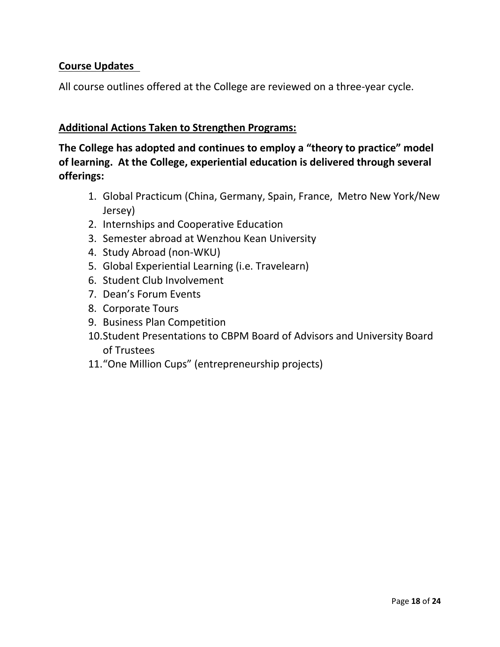## **Course Updates**

All course outlines offered at the College are reviewed on a three-year cycle.

### **Additional Actions Taken to Strengthen Programs:**

**The College has adopted and continues to employ a "theory to practice" model of learning. At the College, experiential education is delivered through several offerings:**

- 1. Global Practicum (China, Germany, Spain, France, Metro New York/New Jersey)
- 2. Internships and Cooperative Education
- 3. Semester abroad at Wenzhou Kean University
- 4. Study Abroad (non-WKU)
- 5. Global Experiential Learning (i.e. Travelearn)
- 6. Student Club Involvement
- 7. Dean's Forum Events
- 8. Corporate Tours
- 9. Business Plan Competition
- 10.Student Presentations to CBPM Board of Advisors and University Board of Trustees
- 11."One Million Cups" (entrepreneurship projects)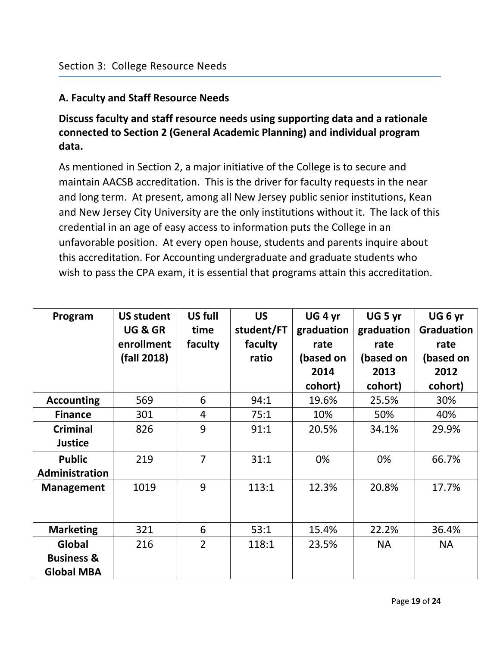## **A. Faculty and Staff Resource Needs**

# **Discuss faculty and staff resource needs using supporting data and a rationale connected to Section 2 (General Academic Planning) and individual program data.**

As mentioned in Section 2, a major initiative of the College is to secure and maintain AACSB accreditation. This is the driver for faculty requests in the near and long term. At present, among all New Jersey public senior institutions, Kean and New Jersey City University are the only institutions without it. The lack of this credential in an age of easy access to information puts the College in an unfavorable position. At every open house, students and parents inquire about this accreditation. For Accounting undergraduate and graduate students who wish to pass the CPA exam, it is essential that programs attain this accreditation.

| Program                                    | <b>US student</b><br>UG & GR<br>enrollment<br>(fall 2018) | US full<br>time<br>faculty | <b>US</b><br>student/FT<br>faculty<br>ratio | UG <sub>4</sub> yr<br>graduation<br>rate<br>(based on<br>2014<br>cohort) | UG <sub>5</sub> yr<br>graduation<br>rate<br>(based on<br>2013<br>cohort) | UG <sub>6</sub> yr<br><b>Graduation</b><br>rate<br>(based on<br>2012<br>cohort) |
|--------------------------------------------|-----------------------------------------------------------|----------------------------|---------------------------------------------|--------------------------------------------------------------------------|--------------------------------------------------------------------------|---------------------------------------------------------------------------------|
| <b>Accounting</b>                          | 569                                                       | 6                          | 94:1                                        | 19.6%                                                                    | 25.5%                                                                    | 30%                                                                             |
| <b>Finance</b>                             | 301                                                       | 4                          | 75:1                                        | 10%                                                                      | 50%                                                                      | 40%                                                                             |
| <b>Criminal</b>                            | 826                                                       | 9                          | 91:1                                        | 20.5%                                                                    | 34.1%                                                                    | 29.9%                                                                           |
| <b>Justice</b>                             |                                                           |                            |                                             |                                                                          |                                                                          |                                                                                 |
| <b>Public</b>                              | 219                                                       | $\overline{7}$             | 31:1                                        | 0%                                                                       | 0%                                                                       | 66.7%                                                                           |
| Administration                             |                                                           |                            |                                             |                                                                          |                                                                          |                                                                                 |
| <b>Management</b>                          | 1019                                                      | 9                          | 113:1                                       | 12.3%                                                                    | 20.8%                                                                    | 17.7%                                                                           |
| <b>Marketing</b>                           | 321                                                       | 6                          | 53:1                                        | 15.4%                                                                    | 22.2%                                                                    | 36.4%                                                                           |
| Global                                     | 216                                                       | $\overline{2}$             | 118:1                                       | 23.5%                                                                    | <b>NA</b>                                                                | <b>NA</b>                                                                       |
| <b>Business &amp;</b><br><b>Global MBA</b> |                                                           |                            |                                             |                                                                          |                                                                          |                                                                                 |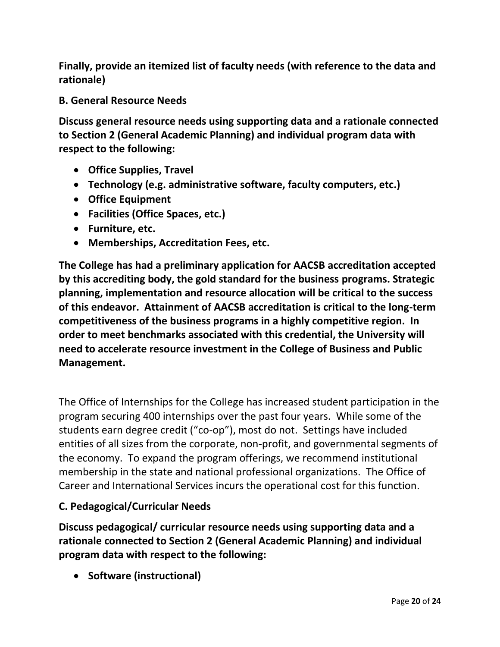**Finally, provide an itemized list of faculty needs (with reference to the data and rationale)**

**B. General Resource Needs**

**Discuss general resource needs using supporting data and a rationale connected to Section 2 (General Academic Planning) and individual program data with respect to the following:**

- **Office Supplies, Travel**
- **Technology (e.g. administrative software, faculty computers, etc.)**
- **Office Equipment**
- **Facilities (Office Spaces, etc.)**
- **Furniture, etc.**
- **Memberships, Accreditation Fees, etc.**

**The College has had a preliminary application for AACSB accreditation accepted by this accrediting body, the gold standard for the business programs. Strategic planning, implementation and resource allocation will be critical to the success of this endeavor. Attainment of AACSB accreditation is critical to the long-term competitiveness of the business programs in a highly competitive region. In order to meet benchmarks associated with this credential, the University will need to accelerate resource investment in the College of Business and Public Management.** 

The Office of Internships for the College has increased student participation in the program securing 400 internships over the past four years. While some of the students earn degree credit ("co-op"), most do not. Settings have included entities of all sizes from the corporate, non-profit, and governmental segments of the economy. To expand the program offerings, we recommend institutional membership in the state and national professional organizations. The Office of Career and International Services incurs the operational cost for this function.

### **C. Pedagogical/Curricular Needs**

**Discuss pedagogical/ curricular resource needs using supporting data and a rationale connected to Section 2 (General Academic Planning) and individual program data with respect to the following:**

• **Software (instructional)**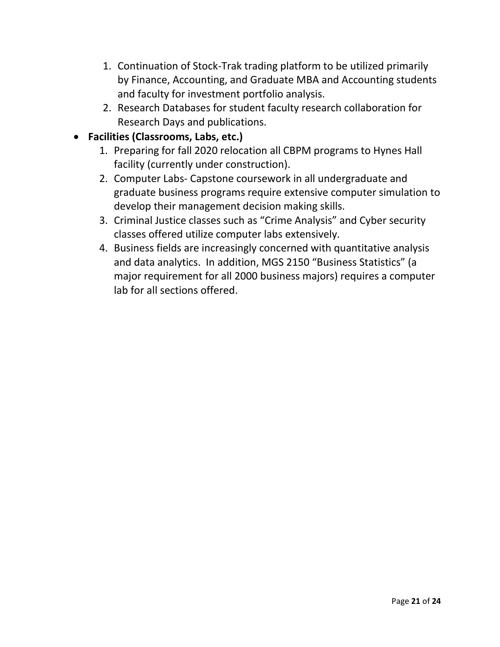- 1. Continuation of Stock-Trak trading platform to be utilized primarily by Finance, Accounting, and Graduate MBA and Accounting students and faculty for investment portfolio analysis.
- 2. Research Databases for student faculty research collaboration for Research Days and publications.

# • **Facilities (Classrooms, Labs, etc.)**

- 1. Preparing for fall 2020 relocation all CBPM programs to Hynes Hall facility (currently under construction).
- 2. Computer Labs- Capstone coursework in all undergraduate and graduate business programs require extensive computer simulation to develop their management decision making skills.
- 3. Criminal Justice classes such as "Crime Analysis" and Cyber security classes offered utilize computer labs extensively.
- 4. Business fields are increasingly concerned with quantitative analysis and data analytics. In addition, MGS 2150 "Business Statistics" (a major requirement for all 2000 business majors) requires a computer lab for all sections offered.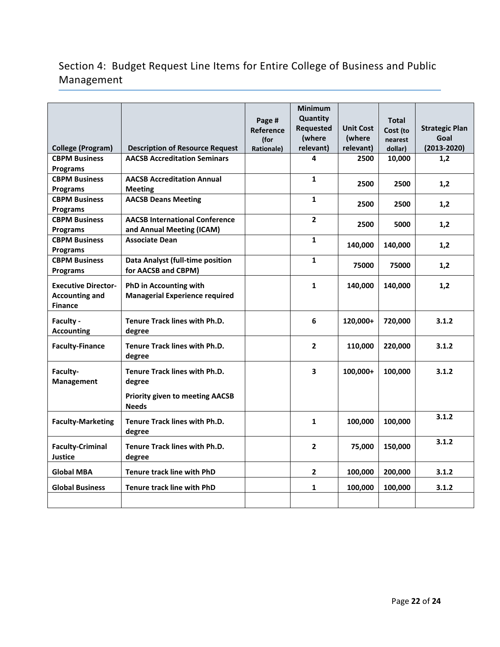# Section 4: Budget Request Line Items for Entire College of Business and Public Management

|                            |                                        |                  | <b>Minimum</b>          |                  |              |                       |
|----------------------------|----------------------------------------|------------------|-------------------------|------------------|--------------|-----------------------|
|                            |                                        | Page #           | <b>Quantity</b>         |                  | <b>Total</b> |                       |
|                            |                                        | <b>Reference</b> | <b>Requested</b>        | <b>Unit Cost</b> | Cost (to     | <b>Strategic Plan</b> |
|                            |                                        | (for             | (where                  | (where           | nearest      | Goal                  |
| <b>College (Program)</b>   | <b>Description of Resource Request</b> | Rationale)       | relevant)               | relevant)        | dollar)      | $(2013 - 2020)$       |
| <b>CBPM Business</b>       | <b>AACSB Accreditation Seminars</b>    |                  | 4                       | 2500             | 10,000       | 1,2                   |
| <b>Programs</b>            |                                        |                  |                         |                  |              |                       |
| <b>CBPM Business</b>       | <b>AACSB Accreditation Annual</b>      |                  | $\mathbf{1}$            | 2500             | 2500         | 1,2                   |
| <b>Programs</b>            | <b>Meeting</b>                         |                  |                         |                  |              |                       |
| <b>CBPM Business</b>       | <b>AACSB Deans Meeting</b>             |                  | $\mathbf{1}$            | 2500             | 2500         | 1,2                   |
| Programs                   |                                        |                  |                         |                  |              |                       |
| <b>CBPM Business</b>       | <b>AACSB International Conference</b>  |                  | $\overline{2}$          | 2500             | 5000         | 1,2                   |
| Programs                   | and Annual Meeting (ICAM)              |                  |                         |                  |              |                       |
| <b>CBPM Business</b>       | <b>Associate Dean</b>                  |                  | $\mathbf{1}$            | 140,000          | 140,000      | 1,2                   |
| <b>Programs</b>            |                                        |                  |                         |                  |              |                       |
| <b>CBPM Business</b>       | Data Analyst (full-time position       |                  | $\mathbf{1}$            | 75000            | 75000        | 1,2                   |
| <b>Programs</b>            | for AACSB and CBPM)                    |                  |                         |                  |              |                       |
| <b>Executive Director-</b> | <b>PhD in Accounting with</b>          |                  | $\mathbf{1}$            | 140,000          | 140,000      | 1,2                   |
| <b>Accounting and</b>      | <b>Managerial Experience required</b>  |                  |                         |                  |              |                       |
| <b>Finance</b>             |                                        |                  |                         |                  |              |                       |
|                            |                                        |                  |                         |                  |              |                       |
| Faculty -                  | <b>Tenure Track lines with Ph.D.</b>   |                  | 6                       | 120,000+         | 720,000      | 3.1.2                 |
| <b>Accounting</b>          | degree                                 |                  |                         |                  |              |                       |
| <b>Faculty-Finance</b>     | <b>Tenure Track lines with Ph.D.</b>   |                  | $\overline{2}$          | 110,000          | 220,000      | 3.1.2                 |
|                            | degree                                 |                  |                         |                  |              |                       |
| Faculty-                   | <b>Tenure Track lines with Ph.D.</b>   |                  | $\overline{\mathbf{3}}$ | 100,000+         | 100,000      | 3.1.2                 |
| <b>Management</b>          | degree                                 |                  |                         |                  |              |                       |
|                            |                                        |                  |                         |                  |              |                       |
|                            | <b>Priority given to meeting AACSB</b> |                  |                         |                  |              |                       |
|                            | <b>Needs</b>                           |                  |                         |                  |              |                       |
| <b>Faculty-Marketing</b>   | <b>Tenure Track lines with Ph.D.</b>   |                  | $\mathbf{1}$            | 100,000          | 100,000      | 3.1.2                 |
|                            | degree                                 |                  |                         |                  |              |                       |
|                            |                                        |                  |                         |                  |              | 3.1.2                 |
| <b>Faculty-Criminal</b>    | <b>Tenure Track lines with Ph.D.</b>   |                  | $\mathbf{2}$            | 75,000           | 150,000      |                       |
| <b>Justice</b>             | degree                                 |                  |                         |                  |              |                       |
| <b>Global MBA</b>          | Tenure track line with PhD             |                  | $\overline{2}$          | 100,000          | 200,000      | 3.1.2                 |
| <b>Global Business</b>     | <b>Tenure track line with PhD</b>      |                  | $\mathbf{1}$            | 100,000          | 100,000      | 3.1.2                 |
|                            |                                        |                  |                         |                  |              |                       |
|                            |                                        |                  |                         |                  |              |                       |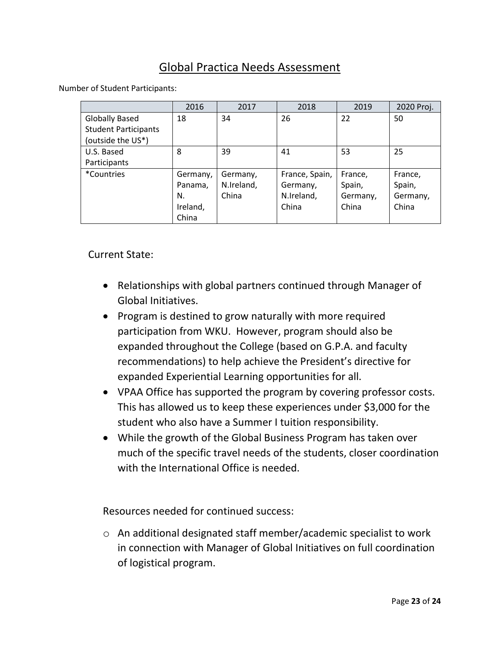# Global Practica Needs Assessment

Number of Student Participants:

|                             | 2016     | 2017       | 2018           | 2019     | 2020 Proj. |
|-----------------------------|----------|------------|----------------|----------|------------|
| <b>Globally Based</b>       | 18       | 34         | 26             | 22       | 50         |
| <b>Student Participants</b> |          |            |                |          |            |
| (outside the US*)           |          |            |                |          |            |
| U.S. Based                  | 8        | 39         | 41             | 53       | 25         |
| Participants                |          |            |                |          |            |
| <i>*Countries</i>           | Germany, | Germany,   | France, Spain, | France,  | France,    |
|                             | Panama,  | N.Ireland, | Germany,       | Spain,   | Spain,     |
|                             | N.       | China      | N.Ireland,     | Germany, | Germany,   |
|                             | Ireland, |            | China          | China    | China      |
|                             | China    |            |                |          |            |

### Current State:

- Relationships with global partners continued through Manager of Global Initiatives.
- Program is destined to grow naturally with more required participation from WKU. However, program should also be expanded throughout the College (based on G.P.A. and faculty recommendations) to help achieve the President's directive for expanded Experiential Learning opportunities for all.
- VPAA Office has supported the program by covering professor costs. This has allowed us to keep these experiences under \$3,000 for the student who also have a Summer I tuition responsibility.
- While the growth of the Global Business Program has taken over much of the specific travel needs of the students, closer coordination with the International Office is needed.

Resources needed for continued success:

o An additional designated staff member/academic specialist to work in connection with Manager of Global Initiatives on full coordination of logistical program.